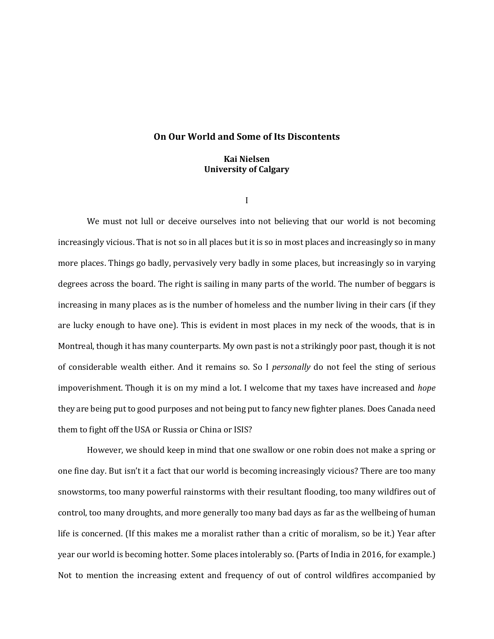## **On Our World and Some of Its Discontents**

# **Kai Nielsen University of Calgary**

I

We must not lull or deceive ourselves into not believing that our world is not becoming increasingly vicious. That is not so in all places but it is so in most places and increasingly so in many more places. Things go badly, pervasively very badly in some places, but increasingly so in varying degrees across the board. The right is sailing in many parts of the world. The number of beggars is increasing in many places as is the number of homeless and the number living in their cars (if they are lucky enough to have one). This is evident in most places in my neck of the woods, that is in Montreal, though it has many counterparts. My own past is not a strikingly poor past, though it is not of considerable wealth either. And it remains so. So I *personally* do not feel the sting of serious impoverishment. Though it is on my mind a lot. I welcome that my taxes have increased and *hope*  they are being put to good purposes and not being put to fancy new fighter planes. Does Canada need them to fight off the USA or Russia or China or ISIS?

However, we should keep in mind that one swallow or one robin does not make a spring or one fine day. But isn't it a fact that our world is becoming increasingly vicious? There are too many snowstorms, too many powerful rainstorms with their resultant flooding, too many wildfires out of control, too many droughts, and more generally too many bad days as far as the wellbeing of human life is concerned. (If this makes me a moralist rather than a critic of moralism, so be it.) Year after year our world is becoming hotter. Some places intolerably so. (Parts of India in 2016, for example.) Not to mention the increasing extent and frequency of out of control wildfires accompanied by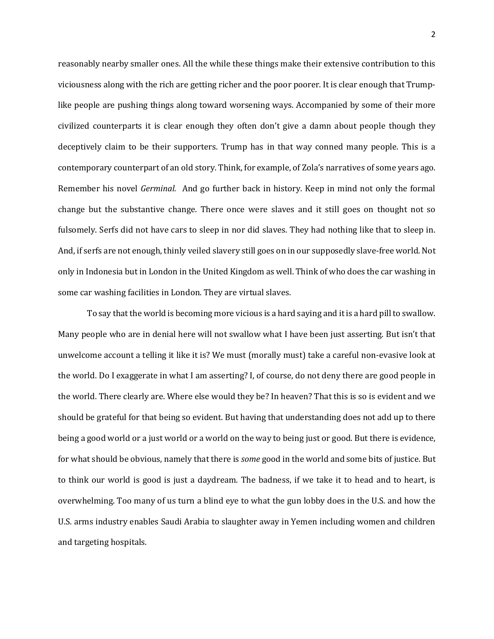reasonably nearby smaller ones. All the while these things make their extensive contribution to this viciousness along with the rich are getting richer and the poor poorer. It is clear enough that Trumplike people are pushing things along toward worsening ways. Accompanied by some of their more civilized counterparts it is clear enough they often don't give a damn about people though they deceptively claim to be their supporters. Trump has in that way conned many people. This is a contemporary counterpart of an old story. Think, for example, of Zola's narratives of some years ago. Remember his novel *Germinal.* And go further back in history. Keep in mind not only the formal change but the substantive change. There once were slaves and it still goes on thought not so fulsomely. Serfs did not have cars to sleep in nor did slaves. They had nothing like that to sleep in. And, if serfs are not enough, thinly veiled slavery still goes on in our supposedly slave-free world. Not only in Indonesia but in London in the United Kingdom as well. Think of who does the car washing in some car washing facilities in London. They are virtual slaves.

To say that the world is becoming more vicious is a hard saying and it is a hard pill to swallow. Many people who are in denial here will not swallow what I have been just asserting. But isn't that unwelcome account a telling it like it is? We must (morally must) take a careful non-evasive look at the world. Do I exaggerate in what I am asserting? I, of course, do not deny there are good people in the world. There clearly are. Where else would they be? In heaven? That this is so is evident and we should be grateful for that being so evident. But having that understanding does not add up to there being a good world or a just world or a world on the way to being just or good. But there is evidence, for what should be obvious, namely that there is *some* good in the world and some bits of justice. But to think our world is good is just a daydream. The badness, if we take it to head and to heart, is overwhelming. Too many of us turn a blind eye to what the gun lobby does in the U.S. and how the U.S. arms industry enables Saudi Arabia to slaughter away in Yemen including women and children and targeting hospitals.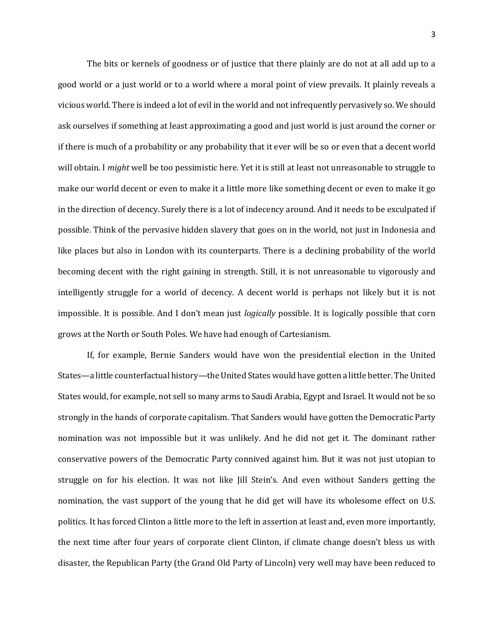The bits or kernels of goodness or of justice that there plainly are do not at all add up to a good world or a just world or to a world where a moral point of view prevails. It plainly reveals a vicious world. There is indeed a lot of evil in the world and not infrequently pervasively so. We should ask ourselves if something at least approximating a good and just world is just around the corner or if there is much of a probability or any probability that it ever will be so or even that a decent world will obtain. I *might* well be too pessimistic here. Yet it is still at least not unreasonable to struggle to make our world decent or even to make it a little more like something decent or even to make it go in the direction of decency. Surely there is a lot of indecency around. And it needs to be exculpated if possible. Think of the pervasive hidden slavery that goes on in the world, not just in Indonesia and like places but also in London with its counterparts. There is a declining probability of the world becoming decent with the right gaining in strength. Still, it is not unreasonable to vigorously and intelligently struggle for a world of decency. A decent world is perhaps not likely but it is not impossible. It is possible. And I don't mean just *logically* possible. It is logically possible that corn grows at the North or South Poles. We have had enough of Cartesianism.

If, for example, Bernie Sanders would have won the presidential election in the United States—a little counterfactual history—the United States would have gotten a little better. The United States would, for example, not sell so many arms to Saudi Arabia, Egypt and Israel. It would not be so strongly in the hands of corporate capitalism. That Sanders would have gotten the Democratic Party nomination was not impossible but it was unlikely. And he did not get it. The dominant rather conservative powers of the Democratic Party connived against him. But it was not just utopian to struggle on for his election. It was not like Jill Stein's. And even without Sanders getting the nomination, the vast support of the young that he did get will have its wholesome effect on U.S. politics. It has forced Clinton a little more to the left in assertion at least and, even more importantly, the next time after four years of corporate client Clinton, if climate change doesn't bless us with disaster, the Republican Party (the Grand Old Party of Lincoln) very well may have been reduced to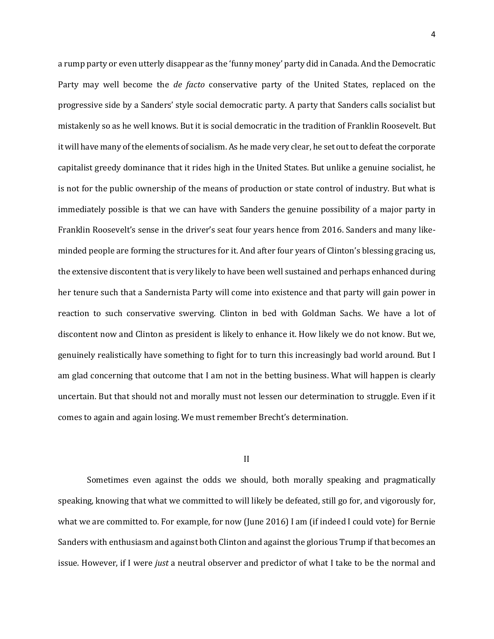a rump party or even utterly disappear as the 'funny money' party did in Canada. And the Democratic Party may well become the *de facto* conservative party of the United States, replaced on the progressive side by a Sanders' style social democratic party. A party that Sanders calls socialist but mistakenly so as he well knows. But it is social democratic in the tradition of Franklin Roosevelt. But it will have many of the elements of socialism. As he made very clear, he set out to defeat the corporate capitalist greedy dominance that it rides high in the United States. But unlike a genuine socialist, he is not for the public ownership of the means of production or state control of industry. But what is immediately possible is that we can have with Sanders the genuine possibility of a major party in Franklin Roosevelt's sense in the driver's seat four years hence from 2016. Sanders and many likeminded people are forming the structures for it. And after four years of Clinton's blessing gracing us, the extensive discontent that is very likely to have been well sustained and perhaps enhanced during her tenure such that a Sandernista Party will come into existence and that party will gain power in reaction to such conservative swerving. Clinton in bed with Goldman Sachs. We have a lot of discontent now and Clinton as president is likely to enhance it. How likely we do not know. But we, genuinely realistically have something to fight for to turn this increasingly bad world around. But I am glad concerning that outcome that I am not in the betting business. What will happen is clearly uncertain. But that should not and morally must not lessen our determination to struggle. Even if it comes to again and again losing. We must remember Brecht's determination.

### II

Sometimes even against the odds we should, both morally speaking and pragmatically speaking, knowing that what we committed to will likely be defeated, still go for, and vigorously for, what we are committed to. For example, for now (June 2016) I am (if indeed I could vote) for Bernie Sanders with enthusiasm and against both Clinton and against the glorious Trump if that becomes an issue. However, if I were *just* a neutral observer and predictor of what I take to be the normal and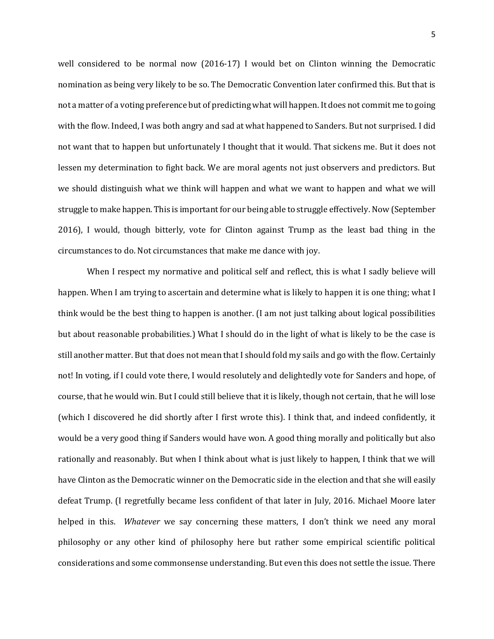well considered to be normal now (2016-17) I would bet on Clinton winning the Democratic nomination as being very likely to be so. The Democratic Convention later confirmed this. But that is not a matter of a voting preference but of predicting what will happen. It does not commit me to going with the flow. Indeed, I was both angry and sad at what happened to Sanders. But not surprised. I did not want that to happen but unfortunately I thought that it would. That sickens me. But it does not lessen my determination to fight back. We are moral agents not just observers and predictors. But we should distinguish what we think will happen and what we want to happen and what we will struggle to make happen. This is important for our being able to struggle effectively. Now (September 2016), I would, though bitterly, vote for Clinton against Trump as the least bad thing in the circumstances to do. Not circumstances that make me dance with joy.

When I respect my normative and political self and reflect, this is what I sadly believe will happen. When I am trying to ascertain and determine what is likely to happen it is one thing; what I think would be the best thing to happen is another. (I am not just talking about logical possibilities but about reasonable probabilities.) What I should do in the light of what is likely to be the case is still another matter. But that does not mean that I should fold my sails and go with the flow. Certainly not! In voting, if I could vote there, I would resolutely and delightedly vote for Sanders and hope, of course, that he would win. But I could still believe that it is likely, though not certain, that he will lose (which I discovered he did shortly after I first wrote this). I think that, and indeed confidently, it would be a very good thing if Sanders would have won. A good thing morally and politically but also rationally and reasonably. But when I think about what is just likely to happen, I think that we will have Clinton as the Democratic winner on the Democratic side in the election and that she will easily defeat Trump. (I regretfully became less confident of that later in July, 2016. Michael Moore later helped in this. *Whatever* we say concerning these matters, I don't think we need any moral philosophy or any other kind of philosophy here but rather some empirical scientific political considerations and some commonsense understanding. But even this does not settle the issue. There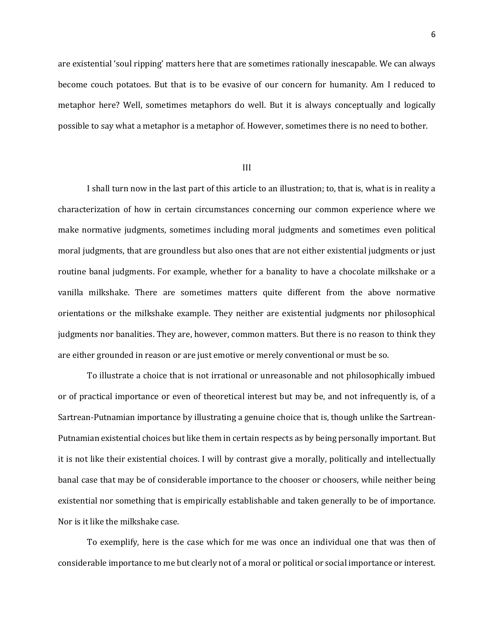are existential 'soul ripping' matters here that are sometimes rationally inescapable. We can always become couch potatoes. But that is to be evasive of our concern for humanity. Am I reduced to metaphor here? Well, sometimes metaphors do well. But it is always conceptually and logically possible to say what a metaphor is a metaphor of. However, sometimes there is no need to bother.

#### III

I shall turn now in the last part of this article to an illustration; to, that is, what is in reality a characterization of how in certain circumstances concerning our common experience where we make normative judgments, sometimes including moral judgments and sometimes even political moral judgments, that are groundless but also ones that are not either existential judgments or just routine banal judgments. For example, whether for a banality to have a chocolate milkshake or a vanilla milkshake. There are sometimes matters quite different from the above normative orientations or the milkshake example. They neither are existential judgments nor philosophical judgments nor banalities. They are, however, common matters. But there is no reason to think they are either grounded in reason or are just emotive or merely conventional or must be so.

To illustrate a choice that is not irrational or unreasonable and not philosophically imbued or of practical importance or even of theoretical interest but may be, and not infrequently is, of a Sartrean-Putnamian importance by illustrating a genuine choice that is, though unlike the Sartrean-Putnamian existential choices but like them in certain respects as by being personally important. But it is not like their existential choices. I will by contrast give a morally, politically and intellectually banal case that may be of considerable importance to the chooser or choosers, while neither being existential nor something that is empirically establishable and taken generally to be of importance. Nor is it like the milkshake case.

To exemplify, here is the case which for me was once an individual one that was then of considerable importance to me but clearly not of a moral or political or social importance or interest.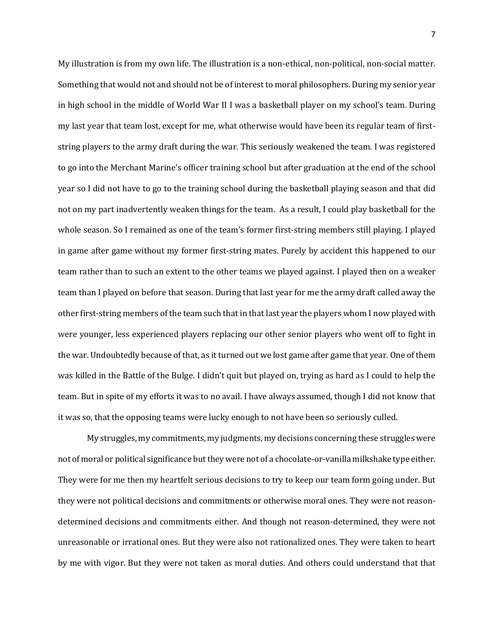My illustration is from my own life. The illustration is a non-ethical, non-political, non-social matter. Something that would not and should not be of interest to moral philosophers. During my senior year in high school in the middle of World War II I was a basketball player on my school's team. During my last year that team lost, except for me, what otherwise would have been its regular team of firststring players to the army draft during the war. This seriously weakened the team. I was registered to go into the Merchant Marine's officer training school but after graduation at the end of the school year so I did not have to go to the training school during the basketball playing season and that did not on my part inadvertently weaken things for the team. As a result, I could play basketball for the whole season. So I remained as one of the team's former first-string members still playing. I played in game after game without my former first-string mates. Purely by accident this happened to our team rather than to such an extent to the other teams we played against. I played then on a weaker team than I played on before that season. During that last year for me the army draft called away the other first-string members of the team such that in that last year the players whom I now played with were younger, less experienced players replacing our other senior players who went off to fight in the war. Undoubtedly because of that, as it turned out we lost game after game that year. One of them was killed in the Battle of the Bulge. I didn't quit but played on, trying as hard as I could to help the team. But in spite of my efforts it was to no avail. I have always assumed, though I did not know that it was so, that the opposing teams were lucky enough to not have been so seriously culled.

My struggles, my commitments, my judgments, my decisions concerning these struggles were not of moral or political significance but they were not of a chocolate-or-vanilla milkshake type either. They were for me then my heartfelt serious decisions to try to keep our team form going under. But they were not political decisions and commitments or otherwise moral ones. They were not reasondetermined decisions and commitments either. And though not reason-determined, they were not unreasonable or irrational ones. But they were also not rationalized ones. They were taken to heart by me with vigor. But they were not taken as moral duties. And others could understand that that